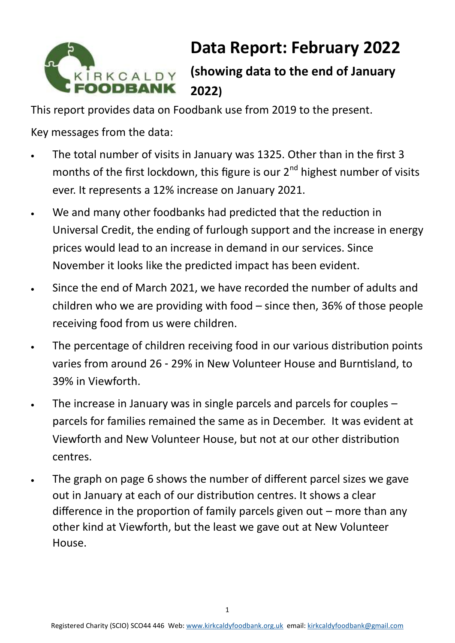

# **Data Report: February 2022**

**(showing data to the end of January 2022)**

This report provides data on Foodbank use from 2019 to the present.

Key messages from the data:

- The total number of visits in January was 1325. Other than in the first 3 months of the first lockdown, this figure is our  $2^{nd}$  highest number of visits ever. It represents a 12% increase on January 2021.
- We and many other foodbanks had predicted that the reduction in Universal Credit, the ending of furlough support and the increase in energy prices would lead to an increase in demand in our services. Since November it looks like the predicted impact has been evident.
- Since the end of March 2021, we have recorded the number of adults and children who we are providing with food – since then, 36% of those people receiving food from us were children.
- The percentage of children receiving food in our various distribution points varies from around 26 - 29% in New Volunteer House and Burntisland, to 39% in Viewforth.
- The increase in January was in single parcels and parcels for couples  $$ parcels for families remained the same as in December. It was evident at Viewforth and New Volunteer House, but not at our other distribution centres.
- The graph on page 6 shows the number of different parcel sizes we gave out in January at each of our distribution centres. It shows a clear difference in the proportion of family parcels given out – more than any other kind at Viewforth, but the least we gave out at New Volunteer House.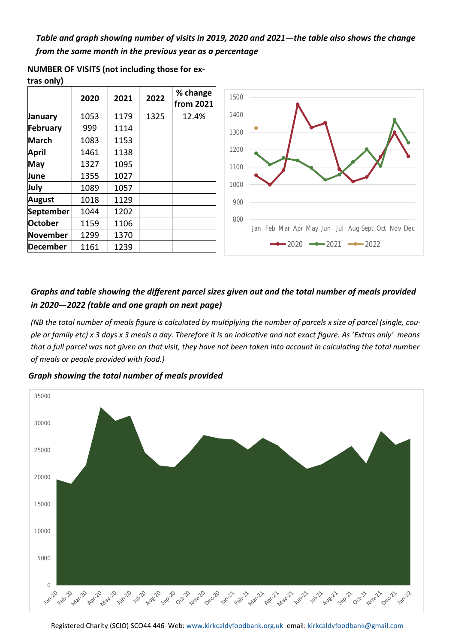*Table and graph showing number of visits in 2019, 2020 and 2021—the table also shows the change from the same month in the previous year as a percentage* 

|                 | 2020 | 2021 | 2022 | % change<br>from 2021 |
|-----------------|------|------|------|-----------------------|
| January         | 1053 | 1179 | 1325 | 12.4%                 |
| <b>February</b> | 999  | 1114 |      |                       |
| <b>March</b>    | 1083 | 1153 |      |                       |
| April           | 1461 | 1138 |      |                       |
| May             | 1327 | 1095 |      |                       |
| June            | 1355 | 1027 |      |                       |
| July            | 1089 | 1057 |      |                       |
| August          | 1018 | 1129 |      |                       |
| September       | 1044 | 1202 |      |                       |
| <b>October</b>  | 1159 | 1106 |      |                       |
| November        | 1299 | 1370 |      |                       |
| <b>December</b> | 1161 | 1239 |      |                       |





### *Graphs and table showing the different parcel sizes given out and the total number of meals provided in 2020—2022 (table and one graph on next page)*

*(NB the total number of meals figure is calculated by multiplying the number of parcels x size of parcel (single, couple or family etc) x 3 days x 3 meals a day. Therefore it is an indicative and not exact figure. As 'Extras only' means that a full parcel was not given on that visit, they have not been taken into account in calculating the total number of meals or people provided with food.)* 

*Graph showing the total number of meals provided* 

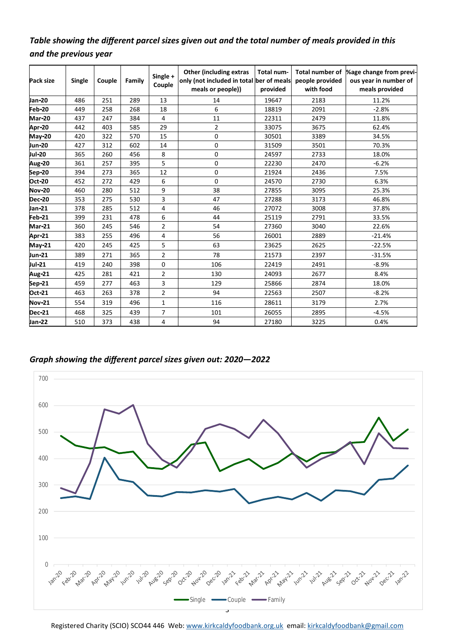## *Table showing the different parcel sizes given out and the total number of meals provided in this and the previous year*

| Pack size     | Single | Couple | Family | Single +<br>Couple      | <b>Other (including extras)</b><br>only (not included in total ber of meals<br>meals or people)) | Total num-<br>provided | Total number of<br>people provided<br>with food | %age change from previ-<br>ous year in number of<br>meals provided |
|---------------|--------|--------|--------|-------------------------|--------------------------------------------------------------------------------------------------|------------------------|-------------------------------------------------|--------------------------------------------------------------------|
| <b>Jan-20</b> | 486    | 251    | 289    | 13                      | 14                                                                                               | 19647                  | 2183                                            | 11.2%                                                              |
| Feb-20        | 449    | 258    | 268    | 18                      | 6                                                                                                | 18819                  | 2091                                            | $-2.8%$                                                            |
| Mar-20        | 437    | 247    | 384    | 4                       | 11                                                                                               | 22311                  | 2479                                            | 11.8%                                                              |
| Apr-20        | 442    | 403    | 585    | 29                      | 2                                                                                                | 33075                  | 3675                                            | 62.4%                                                              |
| <b>May-20</b> | 420    | 322    | 570    | 15                      | 0                                                                                                | 30501                  | 3389                                            | 34.5%                                                              |
| Jun-20        | 427    | 312    | 602    | 14                      | 0                                                                                                | 31509                  | 3501                                            | 70.3%                                                              |
| <b>Jul-20</b> | 365    | 260    | 456    | 8                       | 0                                                                                                | 24597                  | 2733                                            | 18.0%                                                              |
| Aug-20        | 361    | 257    | 395    | 5                       | 0                                                                                                | 22230                  | 2470                                            | $-6.2%$                                                            |
| Sep-20        | 394    | 273    | 365    | 12                      | 0                                                                                                | 21924                  | 2436                                            | 7.5%                                                               |
| Oct-20        | 452    | 272    | 429    | 6                       | 0                                                                                                | 24570                  | 2730                                            | 6.3%                                                               |
| <b>Nov-20</b> | 460    | 280    | 512    | 9                       | 38                                                                                               | 27855                  | 3095                                            | 25.3%                                                              |
| <b>Dec-20</b> | 353    | 275    | 530    | 3                       | 47                                                                                               | 27288                  | 3173                                            | 46.8%                                                              |
| Jan-21        | 378    | 285    | 512    | $\overline{\mathbf{4}}$ | 46                                                                                               | 27072                  | 3008                                            | 37.8%                                                              |
| Feb-21        | 399    | 231    | 478    | 6                       | 44                                                                                               | 25119                  | 2791                                            | 33.5%                                                              |
| Mar-21        | 360    | 245    | 546    | $\overline{2}$          | 54                                                                                               | 27360                  | 3040                                            | 22.6%                                                              |
| Apr-21        | 383    | 255    | 496    | 4                       | 56                                                                                               | 26001                  | 2889                                            | $-21.4%$                                                           |
| <b>May-21</b> | 420    | 245    | 425    | 5                       | 63                                                                                               | 23625                  | 2625                                            | $-22.5%$                                                           |
| Jun-21        | 389    | 271    | 365    | $\overline{2}$          | 78                                                                                               | 21573                  | 2397                                            | $-31.5%$                                                           |
| Jul-21        | 419    | 240    | 398    | 0                       | 106                                                                                              | 22419                  | 2491                                            | $-8.9%$                                                            |
| Aug-21        | 425    | 281    | 421    | $\overline{2}$          | 130                                                                                              | 24093                  | 2677                                            | 8.4%                                                               |
| Sep-21        | 459    | 277    | 463    | 3                       | 129                                                                                              | 25866                  | 2874                                            | 18.0%                                                              |
| Oct-21        | 463    | 263    | 378    | 2                       | 94                                                                                               | 22563                  | 2507                                            | $-8.2%$                                                            |
| <b>Nov-21</b> | 554    | 319    | 496    | $\mathbf{1}$            | 116                                                                                              | 28611                  | 3179                                            | 2.7%                                                               |
| <b>Dec-21</b> | 468    | 325    | 439    | $\overline{7}$          | 101                                                                                              | 26055                  | 2895                                            | $-4.5%$                                                            |
| Jan-22        | 510    | 373    | 438    | 4                       | 94                                                                                               | 27180                  | 3225                                            | 0.4%                                                               |

*Graph showing the different parcel sizes given out: 2020—2022*



Registered Charity (SCIO) SCO44 446 Web: [www.kirkcaldyfoodbank.org.uk](http://www.kirkcaldyfoodbank.org.uk) email: [kirkcaldyfoodbank@gmail.com](mailto:mailtokirkcaldyfoodbank@gmail.com)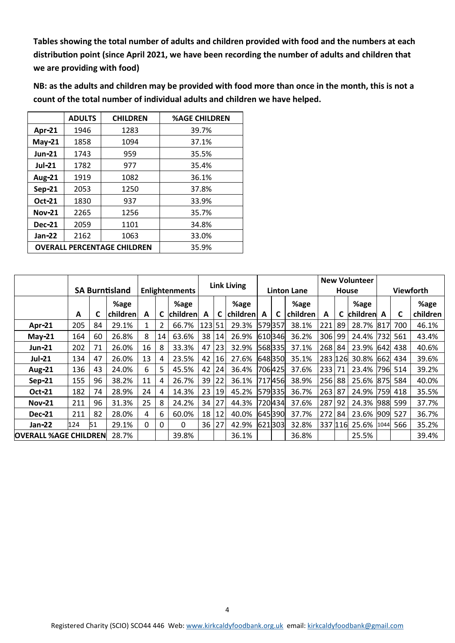**Tables showing the total number of adults and children provided with food and the numbers at each distribution point (since April 2021, we have been recording the number of adults and children that we are providing with food)**

**NB: as the adults and children may be provided with food more than once in the month, this is not a count of the total number of individual adults and children we have helped.** 

|                | <b>ADULTS</b>                      | <b>CHILDREN</b> | <b>%AGE CHILDREN</b> |  |  |
|----------------|------------------------------------|-----------------|----------------------|--|--|
| Apr-21         | 1946                               | 1283            | 39.7%                |  |  |
| $May-21$       | 1858                               | 1094            | 37.1%                |  |  |
| $Jun-21$       | 1743                               | 959             | 35.5%                |  |  |
| <b>Jul-21</b>  | 1782                               | 977             | 35.4%                |  |  |
| <b>Aug-21</b>  | 1919                               | 1082            | 36.1%                |  |  |
| Sep-21         | 2053                               | 1250            | 37.8%                |  |  |
| Oct-21<br>1830 |                                    | 937             | 33.9%                |  |  |
| <b>Nov-21</b>  | 2265                               | 1256            | 35.7%                |  |  |
| <b>Dec-21</b>  | 2059                               | 1101            | 34.8%                |  |  |
| <b>Jan-22</b>  | 2162                               | 1063            | 33.0%                |  |  |
|                | <b>OVERALL PERCENTAGE CHILDREN</b> | 35.9%           |                      |  |  |

|                              |     | <b>SA Burntisland</b> |                  | <b>Enlightenments</b> |    | <b>Link Living</b> |     | <b>Linton Lane</b> |                  | <b>New Volunteer</b><br>House |        | Viewforth               |         |     |                    |      |         |                  |
|------------------------------|-----|-----------------------|------------------|-----------------------|----|--------------------|-----|--------------------|------------------|-------------------------------|--------|-------------------------|---------|-----|--------------------|------|---------|------------------|
|                              | A   | C                     | %age<br>children | A                     |    | %age<br>children   | A   |                    | %age<br>children | A                             | C      | %age<br><b>children</b> | A       | C   | %age<br>children A |      | C       | %age<br>children |
| <b>Apr-21</b>                | 205 | 84                    | 29.1%            | 1                     | 2  | 66.7%              | 123 | 51                 | 29.3%            | 579357                        |        | 38.1%                   | 221     | 89  | 28.7%              | 817  | 700     | 46.1%            |
| May-21                       | 164 | 60                    | 26.8%            | 8                     | 14 | 63.6%              | 38  | 14                 | 26.9%            |                               | 610346 | 36.2%                   | 306     | -99 | 24.4%              | 732  | 561     | 43.4%            |
| <b>Jun-21</b>                | 202 | 71                    | 26.0%            | 16                    | 8  | 33.3%              | 47  | 23                 | 32.9%            |                               | 568335 | 37.1%                   | 268     | 84  | 23.9%              | 642  | 438     | 40.6%            |
| <b>Jul-21</b>                | 134 | 47                    | 26.0%            | 13                    | 4  | 23.5%              | 42  | 16                 | 27.6%            |                               | 648350 | 35.1%                   | 283 126 |     | 30.8%              | 662  | 434     | 39.6%            |
| <b>Aug-21</b>                | 136 | 43                    | 24.0%            | 6                     | 5  | 45.5%              | 42  | 24                 | 36.4%            |                               | 706425 | 37.6%                   | 233     | 71  | 23.4%              | 796  | 514     | 39.2%            |
| Sep-21                       | 155 | 96                    | 38.2%            | 11                    | 4  | 26.7%              | 39  | 22                 | 36.1%            |                               | 717456 | 38.9%                   | 256     | 88  | 25.6%              | 875  | 584     | 40.0%            |
| <b>Oct-21</b>                | 182 | 74                    | 28.9%            | 24                    | 4  | 14.3%              | 23  | 19                 | 45.2%            |                               | 579335 | 36.7%                   | 263     | 87  | 24.9%              | 759l | 418     | 35.5%            |
| <b>Nov-21</b>                | 211 | 96                    | 31.3%            | 25                    | 8  | 24.2%              | 34  | 27                 | 44.3%            |                               | 720434 | 37.6%                   | 287     | 92  | 24.3%              | 988  | 599     | 37.7%            |
| <b>Dec-21</b>                | 211 | 82                    | 28.0%            | 4                     | 6  | 60.0%              | 18  | 12                 | 40.0%            |                               | 645390 | 37.7%                   | 272     | 84  | 23.6%              |      | 909 527 | 36.7%            |
| Jan-22                       | 124 | 51                    | 29.1%            | 0                     | 0  | $\Omega$           | 36  | 27                 | 42.9%            |                               | 621303 | 32.8%                   | 337 116 |     | 25.6%              | 1044 | 566     | 35.2%            |
| <b>OVERALL %AGE CHILDREN</b> |     |                       | 28.7%            |                       |    | 39.8%              |     |                    | 36.1%            |                               |        | 36.8%                   |         |     | 25.5%              |      |         | 39.4%            |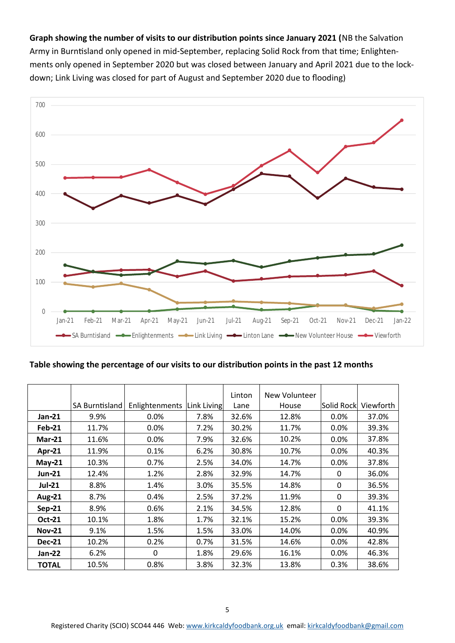**Graph showing the number of visits to our distribution points since January 2021 (**NB the Salvation Army in Burntisland only opened in mid-September, replacing Solid Rock from that time; Enlightenments only opened in September 2020 but was closed between January and April 2021 due to the lockdown; Link Living was closed for part of August and September 2020 due to flooding)



#### **Table showing the percentage of our visits to our distribution points in the past 12 months**

|               |                |                |             | Linton | New Volunteer |            |           |
|---------------|----------------|----------------|-------------|--------|---------------|------------|-----------|
|               | SA Burntisland | Enlightenments | Link Living | Lane   | House         | Solid Rock | Viewforth |
| $Jan-21$      | 9.9%           | $0.0\%$        | 7.8%        | 32.6%  | 12.8%         | $0.0\%$    | 37.0%     |
| <b>Feb-21</b> | 11.7%          | $0.0\%$        | 7.2%        | 30.2%  | 11.7%         | $0.0\%$    | 39.3%     |
| <b>Mar-21</b> | 11.6%          | 0.0%           | 7.9%        | 32.6%  | 10.2%         | 0.0%       | 37.8%     |
| Apr-21        | 11.9%          | 0.1%           | 6.2%        | 30.8%  | 10.7%         | 0.0%       | 40.3%     |
| $May-21$      | 10.3%          | 0.7%           | 2.5%        | 34.0%  | 14.7%         | $0.0\%$    | 37.8%     |
| <b>Jun-21</b> | 12.4%          | 1.2%           | 2.8%        | 32.9%  | 14.7%         | 0          | 36.0%     |
| <b>Jul-21</b> | 8.8%           | 1.4%           | 3.0%        | 35.5%  | 14.8%         | 0          | 36.5%     |
| <b>Aug-21</b> | 8.7%           | 0.4%           | 2.5%        | 37.2%  | 11.9%         | 0          | 39.3%     |
| Sep-21        | 8.9%           | 0.6%           | 2.1%        | 34.5%  | 12.8%         | 0          | 41.1%     |
| Oct-21        | 10.1%          | 1.8%           | 1.7%        | 32.1%  | 15.2%         | 0.0%       | 39.3%     |
| <b>Nov-21</b> | 9.1%           | 1.5%           | 1.5%        | 33.0%  | 14.0%         | 0.0%       | 40.9%     |
| <b>Dec-21</b> | 10.2%          | 0.2%           | 0.7%        | 31.5%  | 14.6%         | 0.0%       | 42.8%     |
| Jan-22        | 6.2%           | 0              | 1.8%        | 29.6%  | 16.1%         | $0.0\%$    | 46.3%     |
| <b>TOTAL</b>  | 10.5%          | 0.8%           | 3.8%        | 32.3%  | 13.8%         | 0.3%       | 38.6%     |